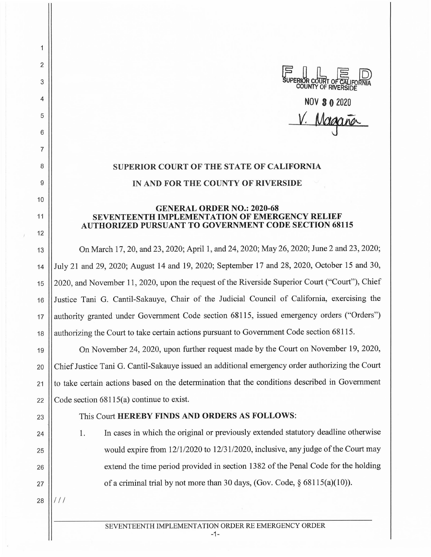SUPERIOR COURT OF CALIFORNIA **COUNTY** OF RIVERSIDE NOV **3 O** <sup>2020</sup>

## V. Magaña

## **SUPERIOR COURT OF THE STATE OF CALIFORNIA IN AND FOR THE COUNTY OF RIVERSIDE**

## **GENERAL ORDER NO.: 2020-68 SEVENTEENTH IMPLEMENTATION OF EMERGENCY RELIEF AUTHORIZED PURSUANT TO GOVERNMENT CODE SECTION 68115**

13 On March 17, 20, and 23, 2020; April 1, and 24, 2020; May 26, 2020; June 2 and 23, 2020; 14 July 21 and 29, 2020; August 14 and 19, 2020; September 17 and 28, 2020, October 15 and 30, 15 2020, and November 11, 2020, upon the request of the Riverside Superior Court ("Court"), Chief 16 Justice Tani G. Cantil-Sakauye, Chair of the Judicial Council of California, exercising the 17 || authority granted under Government Code section 68115, issued emergency orders ("Orders") 18 | authorizing the Court to take certain actions pursuant to Government Code section 68115.

19 On November 24, 2020, upon further request made by the Court on November 19, 2020, 20 Chief Justice Tani G. Cantil-Sakauye issued an additional emergency order authorizing the Court  $21$  | to take certain actions based on the determination that the conditions described in Government 22  $\vert$  Code section 68115(a) continue to exist.

## 23 This Court **HEREBY FINDS AND ORDERS AS FOLLOWS:**

24 | 1. In cases in which the original or previously extended statutory deadline otherwise  $_{25}$  | would expire from 12/1/2020 to 12/31/2020, inclusive, any judge of the Court may 26 || extend the time period provided in section 1382 of the Penal Code for the holding 27  $\vert$  of a criminal trial by not more than 30 days, (Gov. Code, § 68115(a)(10)).

 $28$   $11/11$ 

2

1

3

4

5

6

7

8

9

10

11

12